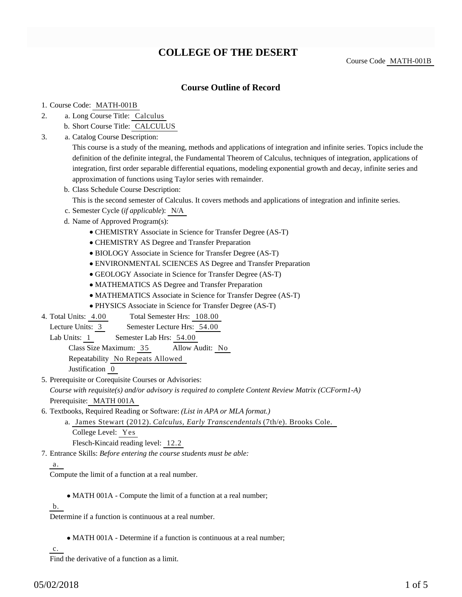# **COLLEGE OF THE DESERT**

Course Code MATH-001B

## **Course Outline of Record**

#### 1. Course Code: MATH-001B

- a. Long Course Title: Calculus 2.
	- b. Short Course Title: CALCULUS
- Catalog Course Description: a. 3.

This course is a study of the meaning, methods and applications of integration and infinite series. Topics include the definition of the definite integral, the Fundamental Theorem of Calculus, techniques of integration, applications of integration, first order separable differential equations, modeling exponential growth and decay, infinite series and approximation of functions using Taylor series with remainder.

b. Class Schedule Course Description:

This is the second semester of Calculus. It covers methods and applications of integration and infinite series.

- c. Semester Cycle (*if applicable*): N/A
- d. Name of Approved Program(s):
	- CHEMISTRY Associate in Science for Transfer Degree (AS-T)
	- CHEMISTRY AS Degree and Transfer Preparation
	- BIOLOGY Associate in Science for Transfer Degree (AS-T)
	- ENVIRONMENTAL SCIENCES AS Degree and Transfer Preparation
	- GEOLOGY Associate in Science for Transfer Degree (AS-T)
	- MATHEMATICS AS Degree and Transfer Preparation
	- MATHEMATICS Associate in Science for Transfer Degree (AS-T)
	- PHYSICS Associate in Science for Transfer Degree (AS-T)
- Total Semester Hrs: 108.00 4. Total Units: 4.00

Lecture Units: 3 Semester Lecture Hrs: 54.00

Lab Units: 1 Semester Lab Hrs: 54.00

Class Size Maximum: 35 Allow Audit: No

Repeatability No Repeats Allowed

Justification 0

5. Prerequisite or Corequisite Courses or Advisories:

*Course with requisite(s) and/or advisory is required to complete Content Review Matrix (CCForm1-A)* Prerequisite: MATH 001A

6. Textbooks, Required Reading or Software: (List in APA or MLA format.)

a. James Stewart (2012). *Calculus, Early Transcendentals* (7th/e). Brooks Cole. College Level: Yes Flesch-Kincaid reading level: 12.2

Entrance Skills: *Before entering the course students must be able:* 7.

#### a.

Compute the limit of a function at a real number.

• MATH 001A - Compute the limit of a function at a real number;

b.

Determine if a function is continuous at a real number.

MATH 001A - Determine if a function is continuous at a real number;

c.

Find the derivative of a function as a limit.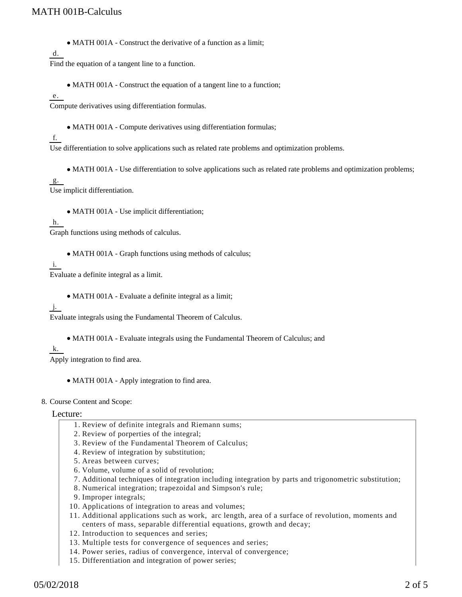MATH 001A - Construct the derivative of a function as a limit;

d.

Find the equation of a tangent line to a function.

• MATH 001A - Construct the equation of a tangent line to a function;

e.

Compute derivatives using differentiation formulas.

• MATH 001A - Compute derivatives using differentiation formulas;

### f.

Use differentiation to solve applications such as related rate problems and optimization problems.

MATH 001A - Use differentiation to solve applications such as related rate problems and optimization problems;

#### g.

Use implicit differentiation.

MATH 001A - Use implicit differentiation;

#### h.

Graph functions using methods of calculus.

• MATH 001A - Graph functions using methods of calculus;

#### i.

Evaluate a definite integral as a limit.

MATH 001A - Evaluate a definite integral as a limit;

#### j.

Evaluate integrals using the Fundamental Theorem of Calculus.

- MATH 001A Evaluate integrals using the Fundamental Theorem of Calculus; and
- k.

Apply integration to find area.

• MATH 001A - Apply integration to find area.

#### 8. Course Content and Scope:

#### Lecture:

- 1. Review of definite integrals and Riemann sums;
- 2. Review of porperties of the integral;
- 3. Review of the Fundamental Theorem of Calculus;
- 4. Review of integration by substitution;
- 5. Areas between curves;
- 6. Volume, volume of a solid of revolution;
- 7. Additional techniques of integration including integration by parts and trigonometric substitution;
- 8. Numerical integration; trapezoidal and Simpson's rule;
- 9. Improper integrals;
- 10. Applications of integration to areas and volumes;
- Additional applications such as work, arc length, area of a surface of revolution, moments and 11. centers of mass, separable differential equations, growth and decay;
- 12. Introduction to sequences and series;
- 13. Multiple tests for convergence of sequences and series;
- 14. Power series, radius of convergence, interval of convergence;
- 15. Differentiation and integration of power series;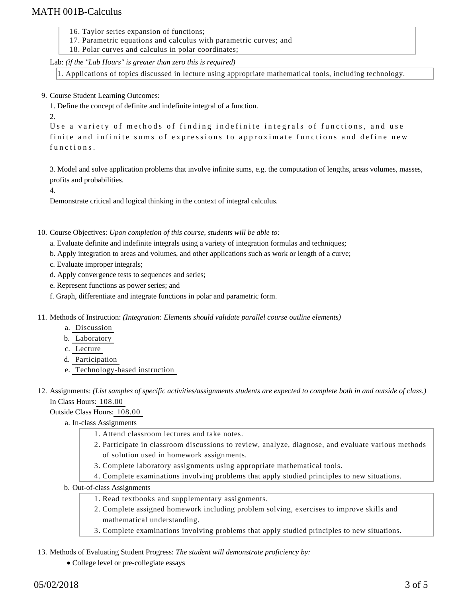## MATH 001B-Calculus

- 16. Taylor series expansion of functions;
- 17. Parametric equations and calculus with parametric curves; and
- 18. Polar curves and calculus in polar coordinates;

Lab: *(if the "Lab Hours" is greater than zero this is required)*

1. Applications of topics discussed in lecture using appropriate mathematical tools, including technology.

9. Course Student Learning Outcomes:

1. Define the concept of definite and indefinite integral of a function.

```
2.
```
Use a variety of methods of finding indefinite integrals of functions, and use finite and infinite sums of expressions to approximate functions and define new functions.

3. Model and solve application problems that involve infinite sums, e.g. the computation of lengths, areas volumes, masses, profits and probabilities.

4.

Demonstrate critical and logical thinking in the context of integral calculus.

10. Course Objectives: Upon completion of this course, students will be able to:

- a. Evaluate definite and indefinite integrals using a variety of integration formulas and techniques;
- b. Apply integration to areas and volumes, and other applications such as work or length of a curve;

c. Evaluate improper integrals;

- d. Apply convergence tests to sequences and series;
- e. Represent functions as power series; and
- f. Graph, differentiate and integrate functions in polar and parametric form.
- 11. Methods of Instruction: *(Integration: Elements should validate parallel course outline elements)* 
	- a. Discussion
	- b. Laboratory
	- c. Lecture
	- d. Participation
	- e. Technology-based instruction
- 12. Assignments: (List samples of specific activities/assignments students are expected to complete both in and outside of class.) In Class Hours: 108.00

Outside Class Hours: 108.00

a. In-class Assignments

- 1. Attend classroom lectures and take notes.
- Participate in classroom discussions to review, analyze, diagnose, and evaluate various methods 2. of solution used in homework assignments.
- 3. Complete laboratory assignments using appropriate mathematical tools.
- 4. Complete examinations involving problems that apply studied principles to new situations.
- b. Out-of-class Assignments
	- 1. Read textbooks and supplementary assignments.
	- 2. Complete assigned homework including problem solving, exercises to improve skills and mathematical understanding.
	- 3. Complete examinations involving problems that apply studied principles to new situations.

#### 13. Methods of Evaluating Student Progress: The student will demonstrate proficiency by:

College level or pre-collegiate essays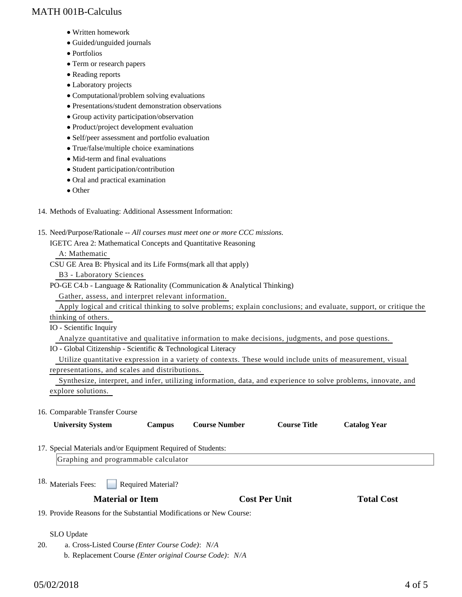## MATH 001B-Calculus

- Written homework
- Guided/unguided journals
- Portfolios
- Term or research papers
- Reading reports
- Laboratory projects
- Computational/problem solving evaluations
- Presentations/student demonstration observations
- Group activity participation/observation
- Product/project development evaluation
- Self/peer assessment and portfolio evaluation
- True/false/multiple choice examinations
- Mid-term and final evaluations
- Student participation/contribution
- Oral and practical examination
- Other
- 14. Methods of Evaluating: Additional Assessment Information:
- 15. Need/Purpose/Rationale -- All courses must meet one or more CCC missions. IGETC Area 2: Mathematical Concepts and Quantitative Reasoning

A: Mathematic

CSU GE Area B: Physical and its Life Forms(mark all that apply)

B3 - Laboratory Sciences

PO-GE C4.b - Language & Rationality (Communication & Analytical Thinking)

Gather, assess, and interpret relevant information.

 Apply logical and critical thinking to solve problems; explain conclusions; and evaluate, support, or critique the thinking of others.

IO - Scientific Inquiry

Analyze quantitative and qualitative information to make decisions, judgments, and pose questions.

IO - Global Citizenship - Scientific & Technological Literacy

 Utilize quantitative expression in a variety of contexts. These would include units of measurement, visual representations, and scales and distributions.

 Synthesize, interpret, and infer, utilizing information, data, and experience to solve problems, innovate, and explore solutions.

#### 16. Comparable Transfer Course

| <b>University System</b>                                               | <b>Campus</b>             | <b>Course Number</b> | <b>Course Title</b>  | <b>Catalog Year</b> |  |
|------------------------------------------------------------------------|---------------------------|----------------------|----------------------|---------------------|--|
| 17. Special Materials and/or Equipment Required of Students:           |                           |                      |                      |                     |  |
| Graphing and programmable calculator                                   |                           |                      |                      |                     |  |
| <sup>18.</sup> Materials Fees:                                         | <b>Required Material?</b> |                      |                      |                     |  |
| <b>Material or Item</b>                                                |                           |                      | <b>Cost Per Unit</b> | <b>Total Cost</b>   |  |
| 19. Provide Reasons for the Substantial Modifications or New Course:   |                           |                      |                      |                     |  |
|                                                                        |                           |                      |                      |                     |  |
| <b>SLO</b> Update                                                      |                           |                      |                      |                     |  |
| 20.<br>a. Cross-Listed Course ( <i>Enter Course Code</i> ): <i>N/A</i> |                           |                      |                      |                     |  |

b. Replacement Course *(Enter original Course Code)*: *N/A*